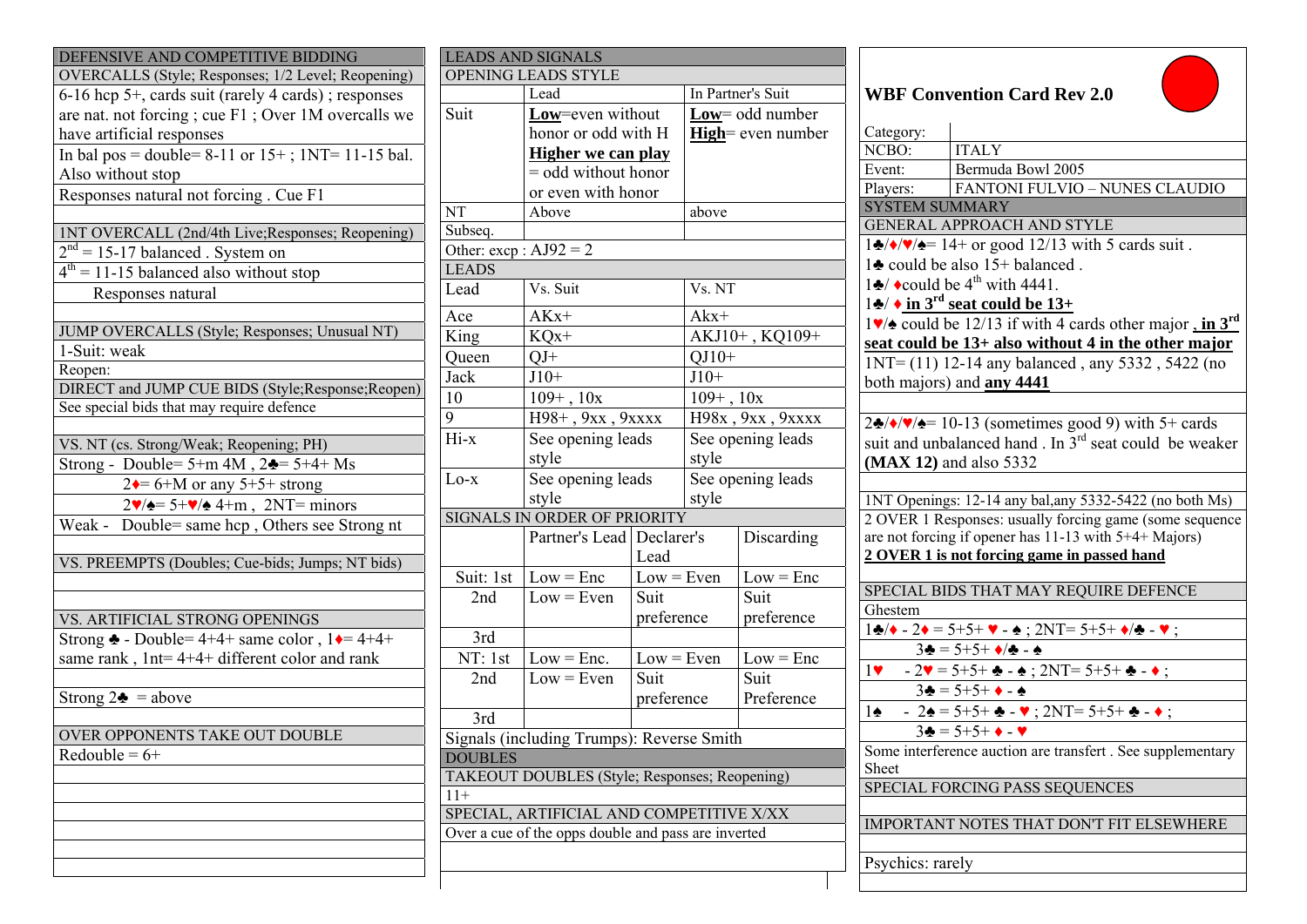| DEFENSIVE AND COMPETITIVE BIDDING                                                               | <b>LEADS AND SIGNALS</b>                            |                                           |                 |                   |                           |                                                                                                             |  |
|-------------------------------------------------------------------------------------------------|-----------------------------------------------------|-------------------------------------------|-----------------|-------------------|---------------------------|-------------------------------------------------------------------------------------------------------------|--|
| OVERCALLS (Style; Responses; 1/2 Level; Reopening)                                              | OPENING LEADS STYLE                                 |                                           |                 |                   |                           |                                                                                                             |  |
| 6-16 hcp 5+, cards suit (rarely 4 cards); responses                                             |                                                     | Lead                                      |                 | In Partner's Suit |                           | <b>WBF Convention Card Rev 2.0</b>                                                                          |  |
| are nat. not forcing; cue F1; Over 1M overcalls we                                              | Suit<br>Low=even without                            |                                           | Low= odd number |                   |                           |                                                                                                             |  |
| have artificial responses                                                                       |                                                     | honor or odd with H                       |                 |                   | <b>High</b> = even number | Category:                                                                                                   |  |
| In bal pos = double= $8-11$ or $15+$ ; $1NT= 11-15$ bal.                                        |                                                     | <b>Higher we can play</b>                 |                 |                   |                           | <b>ITALY</b><br>NCBO:                                                                                       |  |
| Also without stop                                                                               |                                                     | $=$ odd without honor                     |                 |                   |                           | Bermuda Bowl 2005<br>Event:                                                                                 |  |
| Responses natural not forcing. Cue F1                                                           |                                                     | or even with honor                        |                 |                   |                           | FANTONI FULVIO - NUNES CLAUDIO<br>Players:                                                                  |  |
|                                                                                                 | NT                                                  | Above                                     |                 | above             |                           | <b>SYSTEM SUMMARY</b>                                                                                       |  |
| <b>1NT OVERCALL (2nd/4th Live; Responses; Reopening)</b>                                        | Subseq.                                             |                                           |                 |                   |                           | <b>GENERAL APPROACH AND STYLE</b>                                                                           |  |
| $2nd = 15-17$ balanced. System on                                                               | Other: $excp : AJ92 = 2$                            |                                           |                 |                   |                           | $1\clubsuit/\blacklozenge/\blacktriangleright/\blacktriangleright=14+$ or good 12/13 with 5 cards suit.     |  |
| $4th = 11-15$ balanced also without stop                                                        | <b>LEADS</b>                                        |                                           |                 |                   |                           | 12 could be also 15+ balanced.                                                                              |  |
| Responses natural                                                                               | Lead                                                | Vs. Suit                                  |                 | Vs. NT            |                           | $1\clubsuit$ $\star$ could be 4 <sup>th</sup> with 4441.                                                    |  |
|                                                                                                 | Ace                                                 | $AKx+$                                    |                 | $A$ $kx+$         |                           | $1\bullet/\bullet$ in 3 <sup>rd</sup> seat could be 13+                                                     |  |
| JUMP OVERCALLS (Style; Responses; Unusual NT)                                                   | King                                                |                                           |                 |                   |                           | $1\blacktriangleright$ could be 12/13 if with 4 cards other major, in $3^{\text{rd}}$                       |  |
| 1-Suit: weak                                                                                    |                                                     | $KQx+$                                    |                 | AKJ10+, KQ109+    |                           | seat could be 13+ also without 4 in the other major                                                         |  |
| Reopen:                                                                                         | Queen                                               | $QJ+$                                     |                 | $QJ10+$           |                           | $1NT = (11) 12-14$ any balanced, any 5332, 5422 (no                                                         |  |
| DIRECT and JUMP CUE BIDS (Style; Response; Reopen)                                              | Jack                                                | $J10+$                                    |                 | $J10+$            |                           | both majors) and <b>any 4441</b>                                                                            |  |
| See special bids that may require defence                                                       | 10                                                  | $109+$ , $10x$                            |                 | $109+$ , $10x$    |                           |                                                                                                             |  |
|                                                                                                 | 9                                                   | H98+, 9xx, 9xxxx                          |                 |                   | H98x, 9xx, 9xxxx          | $2\clubsuit/\blacklozenge/\blacklozenge = 10-13$ (sometimes good 9) with 5+ cards                           |  |
| VS. NT (cs. Strong/Weak; Reopening; PH)                                                         | Hi-x                                                | See opening leads                         |                 | See opening leads |                           | suit and unbalanced hand. In 3 <sup>rd</sup> seat could be weaker                                           |  |
| Strong - Double= $5+m$ 4M, $2\clubsuit$ = $5+4+$ Ms                                             |                                                     | style                                     |                 | style             |                           | (MAX 12) and also 5332                                                                                      |  |
| $2 \div 6 + M$ or any 5+5+ strong                                                               | $Lo-x$                                              | See opening leads                         |                 |                   | See opening leads         |                                                                                                             |  |
| $2\blacktriangledown/\blacktriangle = 5+\blacktriangledown/\blacktriangle 4+m$ , $2NT =$ minors | style                                               |                                           |                 | style             |                           | 1NT Openings: 12-14 any bal, any 5332-5422 (no both Ms)                                                     |  |
| Weak - Double= same hcp, Others see Strong nt                                                   |                                                     | SIGNALS IN ORDER OF PRIORITY              |                 |                   |                           | 2 OVER 1 Responses: usually forcing game (some sequence                                                     |  |
|                                                                                                 |                                                     | Partner's Lead   Declarer's               |                 |                   | Discarding                | are not forcing if opener has 11-13 with 5+4+ Majors)                                                       |  |
| VS. PREEMPTS (Doubles; Cue-bids; Jumps; NT bids)                                                |                                                     |                                           | Lead            |                   |                           | 2 OVER 1 is not forcing game in passed hand                                                                 |  |
|                                                                                                 | Suit: 1st                                           | $Low = Enc$                               | $Low = Even$    |                   | $Low = Enc$               |                                                                                                             |  |
|                                                                                                 | 2nd                                                 | $Low = Even$                              | Suit            |                   | Suit                      | SPECIAL BIDS THAT MAY REQUIRE DEFENCE                                                                       |  |
| VS. ARTIFICIAL STRONG OPENINGS                                                                  |                                                     |                                           | preference      |                   | preference                | Ghestem                                                                                                     |  |
| Strong $\triangle$ - Double= 4+4+ same color, $1 \triangleleft = 4+4+$                          | 3rd                                                 |                                           |                 |                   |                           | $1\clubsuit/\bullet$ - 2 $\bullet$ = 5+5+ $\bullet$ - $\bullet$ ; 2NT= 5+5+ $\bullet/\bullet$ - $\bullet$ ; |  |
| same rank, 1nt=4+4+ different color and rank                                                    | NT: 1st                                             | $Low = Enc.$                              | $Low = Even$    |                   | $Low = Enc$               | $3\clubsuit = 5+5+ \diamond/2 - \diamond$                                                                   |  |
|                                                                                                 | 2nd                                                 | $Low = Even$                              | Suit            |                   | Suit                      | $-2\mathbf{v} = 5 + 5 + \mathbf{A} - \mathbf{A}$ ; $2NT = 5 + 5 + \mathbf{A} - \mathbf{A}$ ;<br>1           |  |
| Strong $2\clubsuit$ = above                                                                     |                                                     |                                           | preference      |                   | Preference                | $3\clubsuit = 5+5+ \bullet - \bullet$                                                                       |  |
|                                                                                                 | 3rd                                                 |                                           |                 |                   |                           | $-2\cdot 5 = 5 + 5 + \cdot \cdot \cdot 2$ NT= 5+5+ $\cdot \cdot \cdot$<br>$1\spadesuit$                     |  |
| OVER OPPONENTS TAKE OUT DOUBLE                                                                  |                                                     | Signals (including Trumps): Reverse Smith |                 |                   |                           | $3\clubsuit = 5+5+ \lozenge - 2$                                                                            |  |
| Redouble = $6+$                                                                                 | <b>DOUBLES</b>                                      |                                           |                 |                   |                           | Some interference auction are transfert. See supplementary                                                  |  |
|                                                                                                 | TAKEOUT DOUBLES (Style; Responses; Reopening)       |                                           |                 |                   |                           | Sheet                                                                                                       |  |
|                                                                                                 | $11+$                                               |                                           |                 |                   |                           | SPECIAL FORCING PASS SEQUENCES                                                                              |  |
|                                                                                                 | SPECIAL, ARTIFICIAL AND COMPETITIVE X/XX            |                                           |                 |                   |                           |                                                                                                             |  |
|                                                                                                 | Over a cue of the opps double and pass are inverted |                                           |                 |                   |                           | IMPORTANT NOTES THAT DON'T FIT ELSEWHERE                                                                    |  |
|                                                                                                 |                                                     |                                           |                 |                   |                           |                                                                                                             |  |
|                                                                                                 |                                                     |                                           |                 |                   |                           | Psychics: rarely                                                                                            |  |
|                                                                                                 |                                                     |                                           |                 |                   |                           |                                                                                                             |  |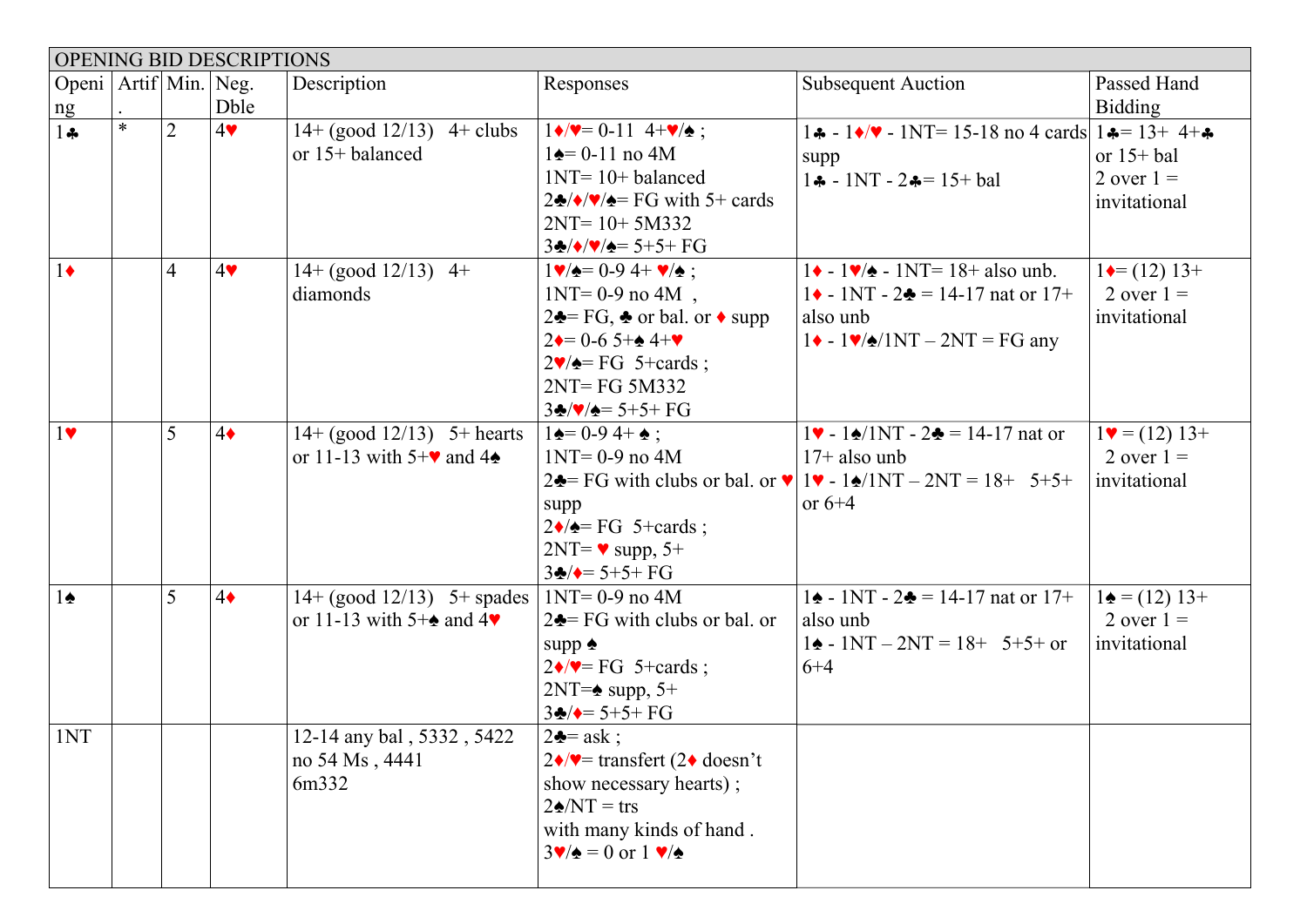|                              | OPENING BID DESCRIPTIONS |                |              |                                                                             |                                                                                                                                                                                                                                                                                                                |                                                                                                                                                                                                               |                                                                    |
|------------------------------|--------------------------|----------------|--------------|-----------------------------------------------------------------------------|----------------------------------------------------------------------------------------------------------------------------------------------------------------------------------------------------------------------------------------------------------------------------------------------------------------|---------------------------------------------------------------------------------------------------------------------------------------------------------------------------------------------------------------|--------------------------------------------------------------------|
| Openi   Artif   Min.  <br>ng |                          |                | Neg.<br>Dble | Description                                                                 | Responses                                                                                                                                                                                                                                                                                                      | <b>Subsequent Auction</b>                                                                                                                                                                                     | Passed Hand<br><b>Bidding</b>                                      |
| $1 +$                        | $\ast$                   | $\overline{2}$ | 4            | $14 + (good 12/13)$ 4+ clubs<br>or 15+ balanced                             | $1\blacklozenge/\blacktriangledown = 0-11$ 4+ $\blacktriangledown/\blacktriangle$ ;<br>$1\spadesuit = 0-11$ no 4M<br>$1NT = 10 + balanced$<br>$2\clubsuit/\blacktriangleright/\blacktriangleright/\blacktriangleright = FG$ with 5+ cards<br>$2NT = 10 + 5M332$<br>$3\cdot\sqrt{\bullet/\bullet} = 5 + 5 + FG$ | $1\clubsuit - 1\spadesuit/\blacktriangledown - 1$ NT= 15-18 no 4 cards $1\spadesuit = 13 + 4 + \clubsuit$<br>supp<br>$1 - 1NT - 2 = 15 + bal$                                                                 | or $15+bal$<br>2 over $1 =$<br>invitational                        |
| $1\bullet$                   |                          | $\overline{4}$ | 4            | $14 + (good 12/13)$ 4+<br>diamonds                                          | $1 \vee 4 = 0.94 + \vee 4$ :<br>$1NT = 0-9$ no $4M$ ,<br>$2\clubsuit = FG$ , $\clubsuit$ or bal. or $\triangle$ supp<br>$2 \div 0.65 + 4 + \sqrt{4 \div 4}$<br>$2\blacktriangledown/\blacktriangle = FG$ 5+cards;<br>2NT=FG 5M332<br>$3\frac{1}{2}$ /////// = 5+5+ FG                                          | $1\bullet - 1\blacktriangledown/\bullet - 1$ NT= 18+ also unb.<br>$1 \cdot 1NT - 2 = 14-17$ nat or 17+<br>also unb<br>$1 \cdot -1 \cdot /2 \cdot /1NT - 2NT = FG$ any                                         | $1 \leftarrow (12) 13 +$<br>2 over $1 =$<br>invitational           |
| $1$ v                        |                          | 5              | $4\bullet$   | $14 + (good 12/13)$ 5+ hearts<br>or 11-13 with $5+\vee$ and 4 $\triangle$   | $1\spadesuit = 0.94 + \spadesuit$ ;<br>$1NT = 0-9$ no $4M$<br>supp<br>$2\blacklozenge$ = FG 5+cards;<br>$2NT = \bullet$ supp, 5+<br>$3\clubsuit/\bullet = 5+5+FG$                                                                                                                                              | $1\blacktriangleright - 1\blacktriangle/1\text{NT} - 2\blacktriangle = 14-17$ nat or<br>$17+$ also unb<br>2. FG with clubs or bal. or $\sqrt{1}$ - 1. $\sqrt{1}$ - 1. $\sqrt{1}$ - 2NT = 18+ 5+5+<br>or $6+4$ | $1\blacktriangleright = (12) 13 +$<br>2 over $1 =$<br>invitational |
| $1\spadesuit$                |                          | 5              | $4\bullet$   | $14 + (good 12/13)$ 5+ spades<br>or 11-13 with 5+ $\bullet$ and 4 $\bullet$ | $1NT = 0-9$ no $4M$<br>$2\clubsuit$ FG with clubs or bal. or<br>supp $\triangle$<br>$2\blacklozenge/\blacktriangledown$ FG 5+cards;<br>$2NT = \triangle$ supp, 5+<br>$3\clubsuit/\bullet = 5+5+FG$                                                                                                             | $1\spadesuit$ - 1NT - 2 $\spadesuit$ = 14-17 nat or 17+<br>also unb<br>$1\spadesuit$ - 1NT – 2NT = 18+ 5+5+ or<br>$6 + 4$                                                                                     | $1\bullet = (12) 13+$<br>2 over $1 =$<br>invitational              |
| 1NT                          |                          |                |              | 12-14 any bal, 5332, 5422<br>no 54 Ms, 4441<br>6m332                        | $2\clubsuit = ask$ ;<br>$2\blacklozenge/\blacktriangledown$ transfert (2 $\blacklozenge$ doesn't<br>show necessary hearts);<br>$2\triangle N T = \text{trs}$<br>with many kinds of hand.<br>$3\mathbf{v}/\mathbf{v} = 0$ or $1\mathbf{v}/\mathbf{v}$                                                           |                                                                                                                                                                                                               |                                                                    |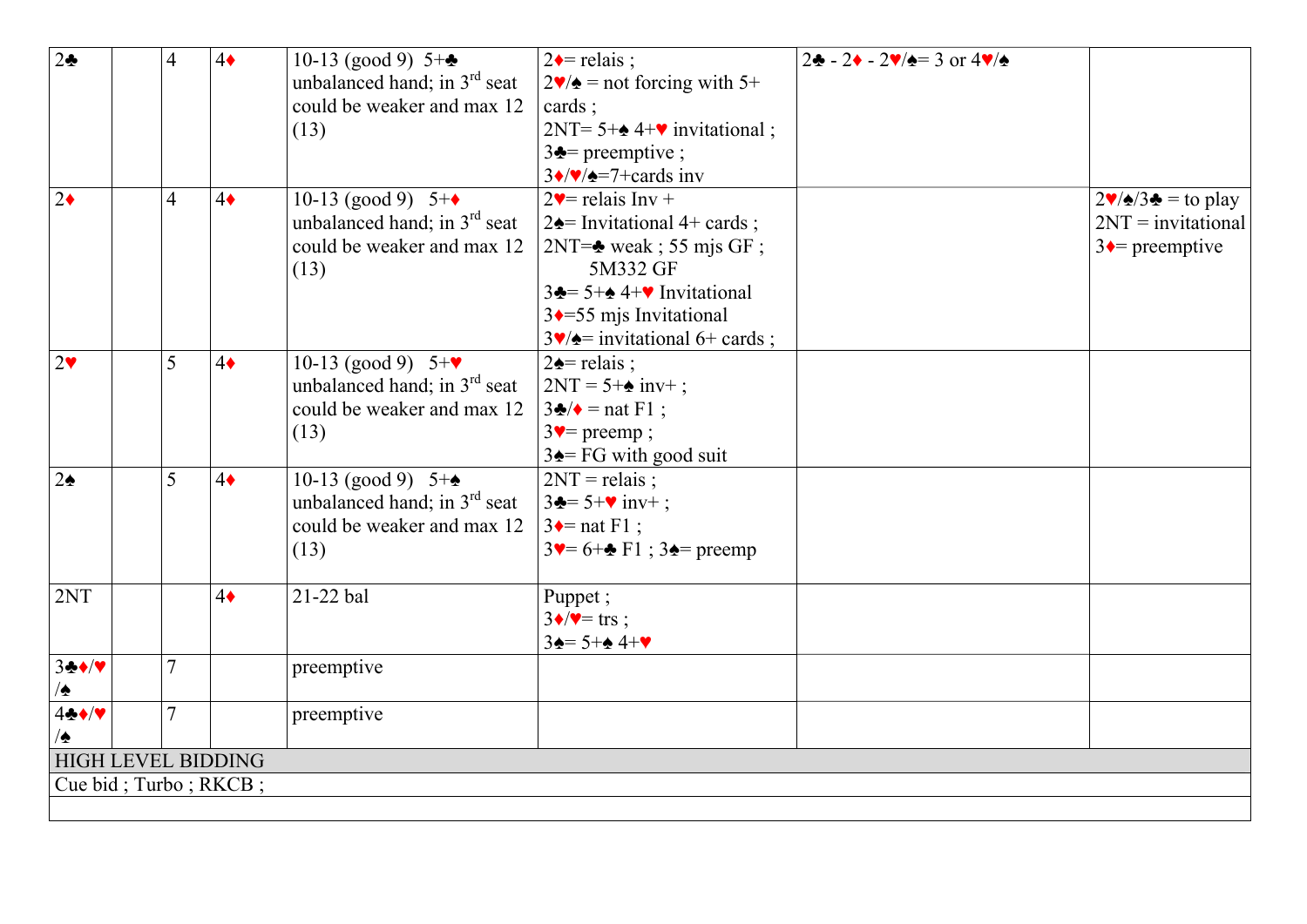| 2 <sub>2</sub>            | $\overline{4}$ | $4\bullet$ | 10-13 (good 9) $5+\bullet$               | $2 \triangle$ relais ;                                                | $2\cdot \frac{1}{2}$ - 2 $\sqrt{2}$ = 3 or 4 $\sqrt{2}$ |                                                                |
|---------------------------|----------------|------------|------------------------------------------|-----------------------------------------------------------------------|---------------------------------------------------------|----------------------------------------------------------------|
|                           |                |            | unbalanced hand; in 3 <sup>rd</sup> seat | $2\blacktriangledown/\blacktriangle$ = not forcing with 5+            |                                                         |                                                                |
|                           |                |            | could be weaker and max 12               | cards;                                                                |                                                         |                                                                |
|                           |                |            | (13)                                     | $2NT = 5 + \triangle 4 + \triangleright$ invitational;                |                                                         |                                                                |
|                           |                |            |                                          | $3\triangle$ = preemptive ;                                           |                                                         |                                                                |
|                           |                |            |                                          | $3\sqrt{\sqrt{2}}$ =7+cards inv                                       |                                                         |                                                                |
| $2\bullet$                | $\overline{4}$ | $4\bullet$ | 10-13 (good 9) $5+\bullet$               | $2\blacktriangledown$ relais Inv +                                    |                                                         | $2\blacktriangledown/\blacktriangle/3\blacktriangle =$ to play |
|                           |                |            | unbalanced hand; in $3rd$ seat           | $2\triangle =$ Invitational 4+ cards;                                 |                                                         | $2NT = invitational$                                           |
|                           |                |            | could be weaker and max 12               | $2NT =$ weak; 55 mjs GF;                                              |                                                         | $3 \leftarrow$ preemptive                                      |
|                           |                |            | (13)                                     | 5M332 GF                                                              |                                                         |                                                                |
|                           |                |            |                                          | $3\clubsuit$ = 5+ $\spadesuit$ 4+ $\spadesuit$ Invitational           |                                                         |                                                                |
|                           |                |            |                                          | $3 \rightarrow 55$ mjs Invitational                                   |                                                         |                                                                |
|                           |                |            |                                          | $3\blacktriangledown/\blacktriangle =$ invitational 6+ cards;         |                                                         |                                                                |
| $2\blacktriangledown$     | 5              | $4\bullet$ | 10-13 (good 9) $5+\mathbf{v}$            | $2\triangle$ relais;                                                  |                                                         |                                                                |
|                           |                |            | unbalanced hand; in 3 <sup>rd</sup> seat | $2NT = 5 + \triangle inv^+$ ;                                         |                                                         |                                                                |
|                           |                |            | could be weaker and max 12               | $3\clubsuit/\bullet$ = nat F1;                                        |                                                         |                                                                |
|                           |                |            | (13)                                     | $3$ v= preemp;                                                        |                                                         |                                                                |
|                           |                |            |                                          | $3\triangle = FG$ with good suit                                      |                                                         |                                                                |
| $2\spadesuit$             | 5              | $4\bullet$ | 10-13 (good 9) $5 + \triangle$           | $2NT =$ relais;                                                       |                                                         |                                                                |
|                           |                |            | unbalanced hand; in 3 <sup>rd</sup> seat | $3 - 5 + \text{cm}$ inv+;                                             |                                                         |                                                                |
|                           |                |            | could be weaker and max 12               | $3 \leftarrow$ nat F1 ;                                               |                                                         |                                                                |
|                           |                |            | (13)                                     | $3\blacktriangledown = 6 + \clubsuit F1$ ; $3\blacktriangle =$ preemp |                                                         |                                                                |
| 2NT                       |                | $4\bullet$ | 21-22 bal                                | Puppet;                                                               |                                                         |                                                                |
|                           |                |            |                                          | $3\sqrt{v} = \text{trs}$ ;                                            |                                                         |                                                                |
|                           |                |            |                                          | $3\spadesuit = 5 + \spadesuit 4 + \blacktriangledown$                 |                                                         |                                                                |
| 3.4                       | $\overline{7}$ |            | preemptive                               |                                                                       |                                                         |                                                                |
| ⁄≙                        |                |            |                                          |                                                                       |                                                         |                                                                |
| 4.4                       | $\tau$         |            | preemptive                               |                                                                       |                                                         |                                                                |
| ٰ∤                        |                |            |                                          |                                                                       |                                                         |                                                                |
| <b>HIGH LEVEL BIDDING</b> |                |            |                                          |                                                                       |                                                         |                                                                |
| Cue bid; Turbo; RKCB;     |                |            |                                          |                                                                       |                                                         |                                                                |
|                           |                |            |                                          |                                                                       |                                                         |                                                                |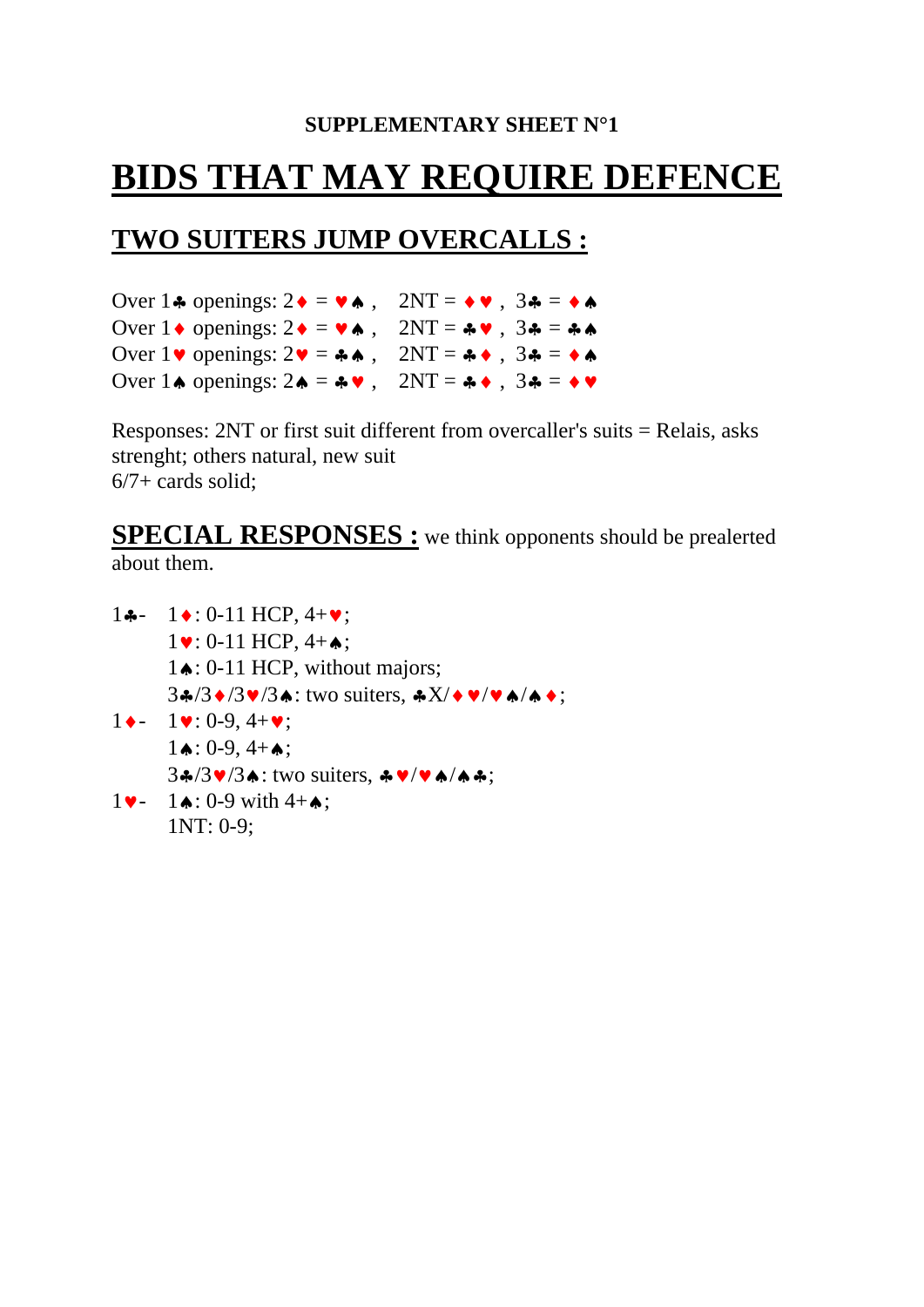#### **SUPPLEMENTARY SHEET N°1**

# **BIDS THAT MAY REQUIRE DEFENCE**

# **TWO SUITERS JUMP OVERCALLS :**

Over  $1\clubsuit$  openings:  $2\spadesuit = \blacktriangledown \spadesuit$ ,  $2NT = \spadesuit \blacktriangledown$ ,  $3\clubsuit = \spadesuit \spadesuit$ Over  $1 \cdot \text{openings: } 2 \cdot \text{= } \vee \text{.}$  2NT =  $\text{.} \vee \text{.}$  3 $\text{.}$  =  $\text{.} \triangle \text{.}$ Over  $1 \cdot \text{v}$  openings:  $2 \cdot \text{v} = 4 \cdot \text{A}$ ,  $2NT = 4 \cdot \text{A}$ ,  $34 = 4 \cdot \text{A}$ Over  $1\spadesuit$  openings:  $2\spadesuit = \clubsuit \blacktriangledown$ ,  $2NT = \clubsuit \blacklozenge$ ,  $3\clubsuit = \spadesuit \blacktriangledown$ 

Responses: 2NT or first suit different from overcaller's suits = Relais, asks strenght; others natural, new suit  $6/7$ + cards solid:

#### **SPECIAL RESPONSES :** we think opponents should be prealerted about them.

1♣- 1♦: 0-11 HCP, 4+♥; 1♥: 0-11 HCP, 4+♠; 1♠: 0-11 HCP, without majors; 3♣/3♦/3♥/3♠: two suiters, ♣X/♦♥/♥♠/♠♦;  $1 \bullet - 1 \bullet : 0 - 9, 4 + \bullet :$  $1 \triangle 0.9, 4 + \triangle;$  3♣/3♥/3♠: two suiters, ♣♥/♥♠/♠♣;  $1 \cdot 1 \cdot 0.9$  with  $4 + 4$ ; 1NT: 0-9;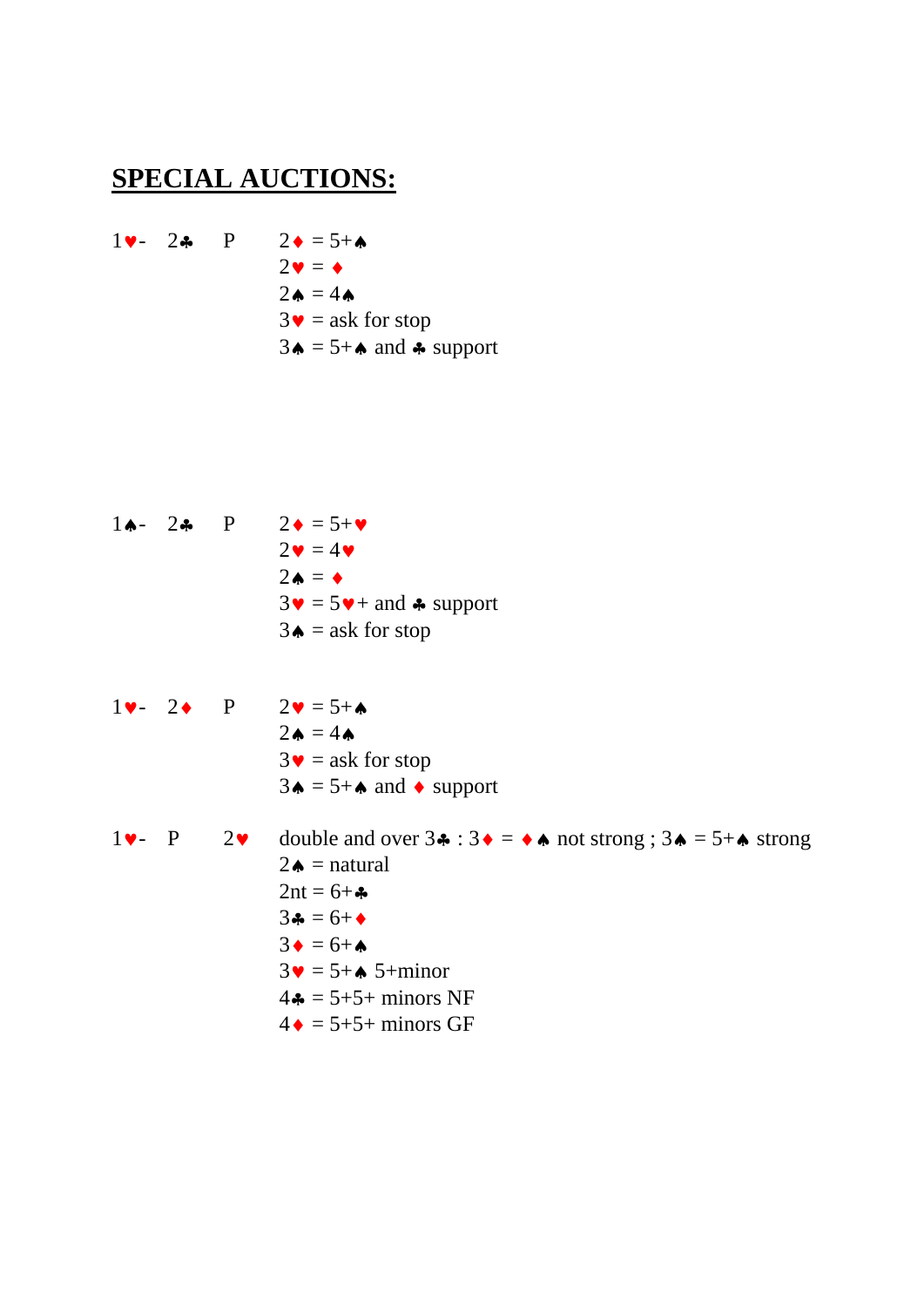#### **SPECIAL AUCTIONS:**

 $1 \rightarrow -2 \rightarrow P$   $2 \rightarrow = 5 + \rightarrow$  $2\mathbf{v} = \mathbf{\bullet}$  $2\spadesuit = 4\spadesuit$  $3\bullet$  = ask for stop  $3\spadesuit$  = 5+ $\spadesuit$  and  $\clubsuit$  support

- $1 \spadesuit$  2 $\spadesuit$  P  $2 \spadesuit$  = 5+ $\spadesuit$  $2\bullet = 4\bullet$  $2\spadesuit = \spadesuit$  $3\mathbf{v} = 5\mathbf{v} + \text{and } \clubsuit \text{ support}$  $3\spadesuit$  = ask for stop
- $1 \vee 2 \lozenge$  P  $2 \vee = 5 + \lozenge$  $2\spadesuit = 4\spadesuit$  $3\bullet$  = ask for stop  $3\spadesuit = 5 + \spadesuit$  and  $\spadesuit$  support
- 1 $\bullet$  P 2 $\bullet$  double and over  $3\bullet : 3\bullet = \bullet \bullet$  not strong ;  $3\bullet = 5 + \bullet$  strong  $2\spadesuit$  = natural  $2nt = 6 + \bullet$  $3\clubsuit = 6 + \spadesuit$  $3\bullet = 6 + \bullet$  $3\mathbf{v} = 5 + \mathbf{A} 5 + \text{minor}$  $4\bullet = 5+5+$  minors NF  $4 \bullet = 5 + 5 + \text{minors GF}$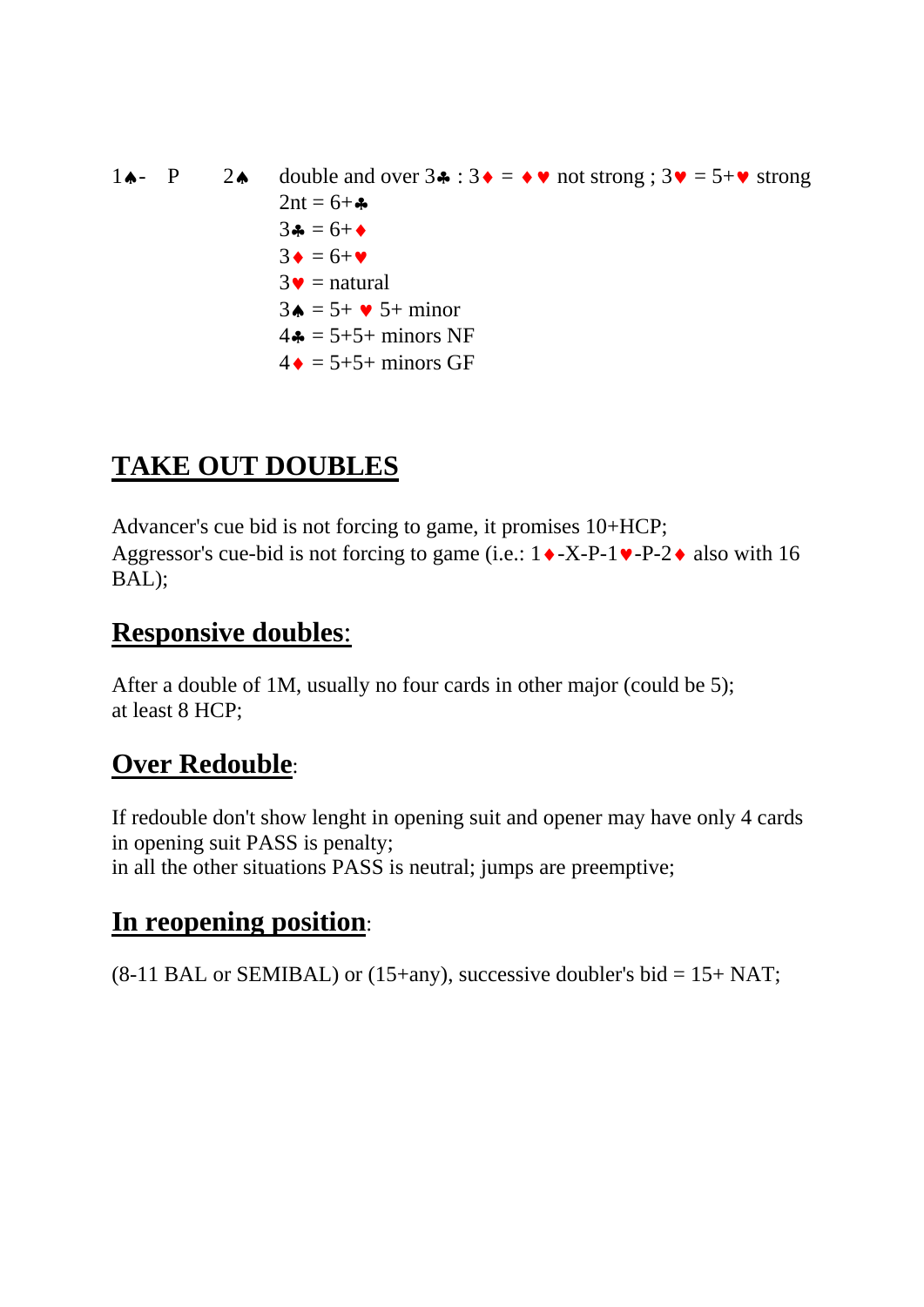1 $\uparrow \bullet$ - P 2 $\uparrow \bullet$  double and over  $3\uparrow \bullet : 3\uparrow = \uparrow \bullet$  not strong ;  $3\uparrow \bullet = 5+\uparrow \bullet$  strong  $2nt = 6 + \bullet$  $3\clubsuit = 6 + \spadesuit$  $3\bullet = 6+\bullet$  $3\bullet$  = natural  $3\bullet = 5 + \bullet 5 + \text{minor}$  $4\clubsuit$  = 5+5+ minors NF  $4 \bullet = 5 + 5 +$  minors GF

# **TAKE OUT DOUBLES**

Advancer's cue bid is not forcing to game, it promises 10+HCP; Aggressor's cue-bid is not forcing to game (i.e.:  $1 \cdot X-P-1 \cdot P-2 \cdot$  also with 16 BAL);

### **Responsive doubles**:

After a double of 1M, usually no four cards in other major (could be 5); at least 8 HCP;

# **Over Redouble**:

If redouble don't show lenght in opening suit and opener may have only 4 cards in opening suit PASS is penalty; in all the other situations PASS is neutral; jumps are preemptive;

### **In reopening position**:

 $(8-11 \text{ BAL or SEMIBAL})$  or  $(15+any)$ , successive doubler's bid = 15+ NAT;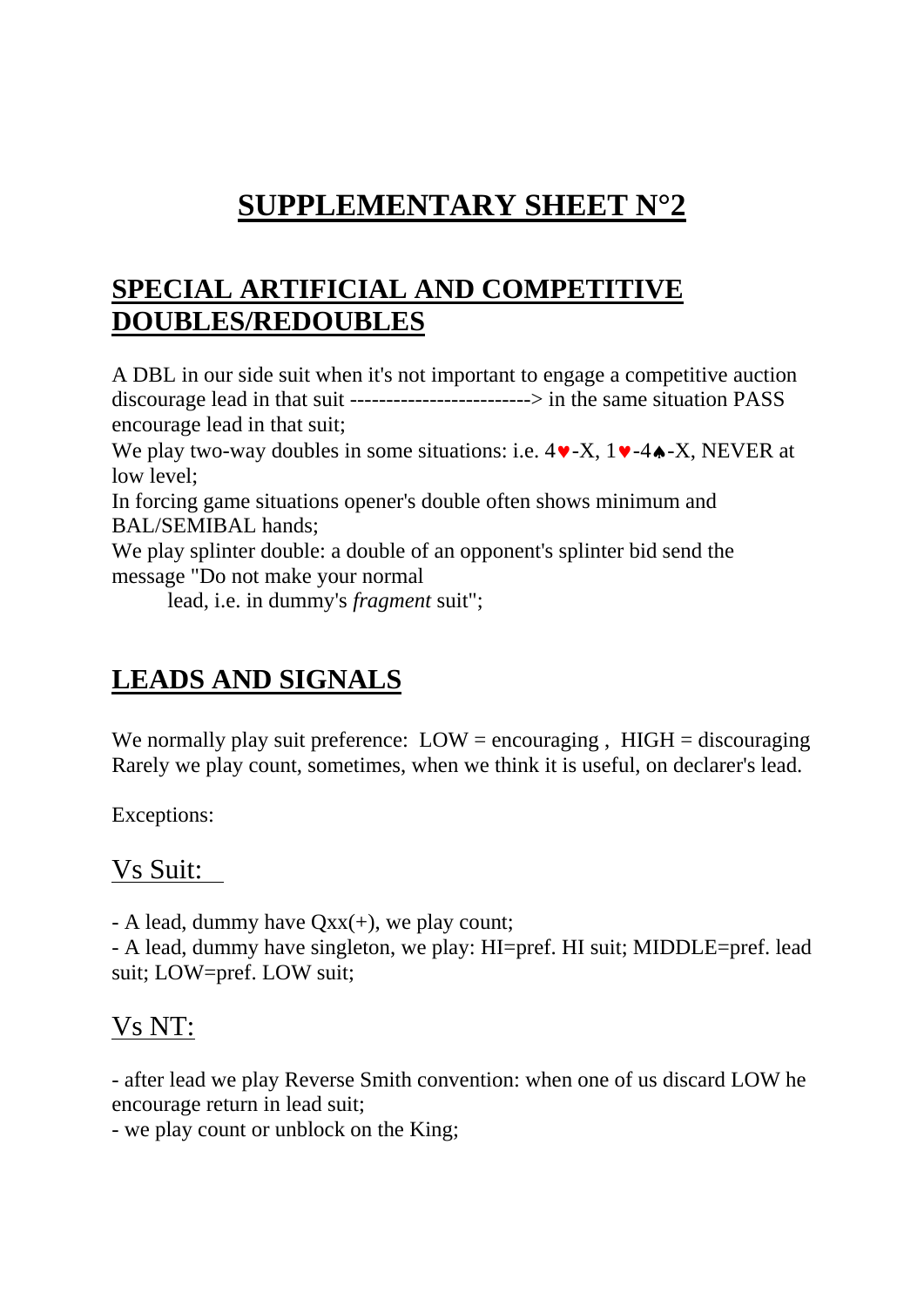# **SUPPLEMENTARY SHEET N°2**

# **SPECIAL ARTIFICIAL AND COMPETITIVE DOUBLES/REDOUBLES**

A DBL in our side suit when it's not important to engage a competitive auction discourage lead in that suit -------------------------> in the same situation PASS encourage lead in that suit;

We play two-way doubles in some situations: i.e.  $4 \vee -X$ ,  $1 \vee -4 \triangle -X$ , NEVER at low level;

In forcing game situations opener's double often shows minimum and BAL/SEMIBAL hands;

We play splinter double: a double of an opponent's splinter bid send the message "Do not make your normal

lead, i.e. in dummy's *fragment* suit";

# **LEADS AND SIGNALS**

We normally play suit preference:  $LOW = \text{encouraging}$ ,  $HIGH = \text{discouraging}$ Rarely we play count, sometimes, when we think it is useful, on declarer's lead.

Exceptions:

#### Vs Suit:

- A lead, dummy have  $Qxx(+)$ , we play count;

- A lead, dummy have singleton, we play: HI=pref. HI suit; MIDDLE=pref. lead suit; LOW=pref. LOW suit;

### Vs NT:

- after lead we play Reverse Smith convention: when one of us discard LOW he encourage return in lead suit;

- we play count or unblock on the King;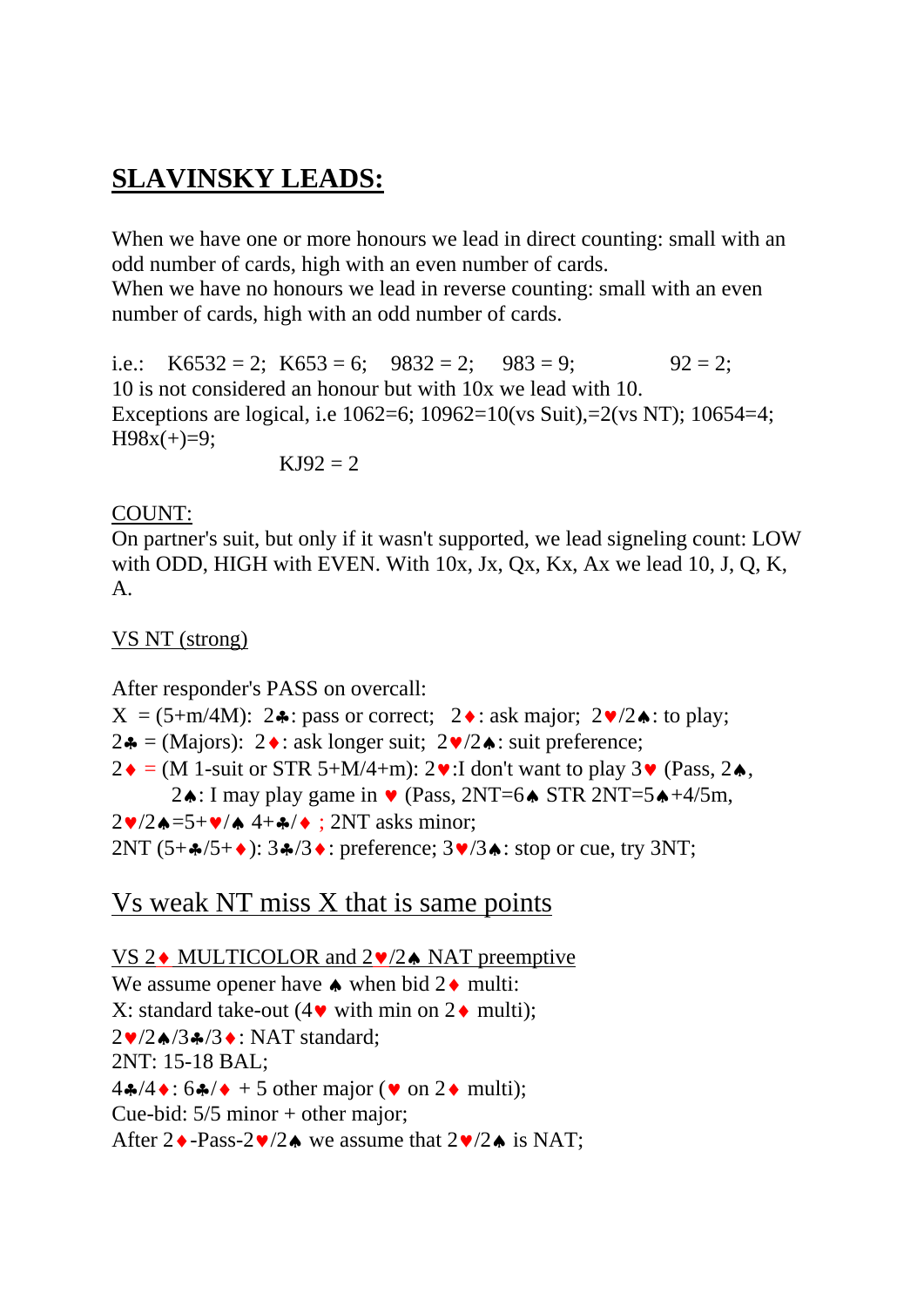# **SLAVINSKY LEADS:**

When we have one or more honours we lead in direct counting: small with an odd number of cards, high with an even number of cards.

When we have no honours we lead in reverse counting: small with an even number of cards, high with an odd number of cards.

i.e.: K6532 = 2; K653 = 6;  $9832 = 2$ ;  $983 = 9$ ;  $92 = 2$ ; 10 is not considered an honour but with 10x we lead with 10. Exceptions are logical, i.e 1062=6; 10962=10(vs Suit),=2(vs NT); 10654=4;  $H98x(+)=9;$ 

 $KJ92 = 2$ 

#### COUNT:

On partner's suit, but only if it wasn't supported, we lead signeling count: LOW with ODD, HIGH with EVEN. With 10x, Jx, Qx, Kx, Ax we lead 10, J, Q, K, A.

#### VS NT (strong)

After responder's PASS on overcall:

 $X = (5+m/4M)$ : 2♣: pass or correct; 2♦: ask major; 2♥/2♠: to play; 2♣ = (Majors): 2♦: ask longer suit;  $2\Psi/2\blacktriangle$ : suit preference;  $2\bullet$  = (M 1-suit or STR 5+M/4+m):  $2\bullet$ :I don't want to play  $3\bullet$  (Pass,  $2\bullet$ , 2♦: I may play game in  $\blacktriangledown$  (Pass, 2NT=6♦ STR 2NT=5♦+4/5m,  $2\blacktriangledown/2\blacktriangle = 5+\blacktriangledown/\blacktriangle + 4+\blacktriangle/\blacktriangle$ ; 2NT asks minor; 2NT  $(5+\frac{2}{3}+6)$ :  $3\frac{2}{3}$  : preference;  $3\frac{1}{3}$  : stop or cue, try 3NT;

### Vs weak NT miss X that is same points

VS 2♦ MULTICOLOR and 2♥/2♠ NAT preemptive We assume opener have  $\triangle$  when bid 2 $\triangle$  multi: X: standard take-out  $(4\bullet \text{ with min on } 2\bullet \text{ multi)}$ : 2♥/2♠/3♣/3♦: NAT standard; 2NT: 15-18 BAL;  $4\clubsuit/4\bullet: 6\clubsuit/\bullet + 5$  other major ( $\bullet$  on  $2\bullet$  multi); Cue-bid: 5/5 minor + other major; After  $2 \cdot$ -Pass-2 $\sqrt{2} \cdot$  we assume that  $2 \cdot \sqrt{2} \cdot$  is NAT;